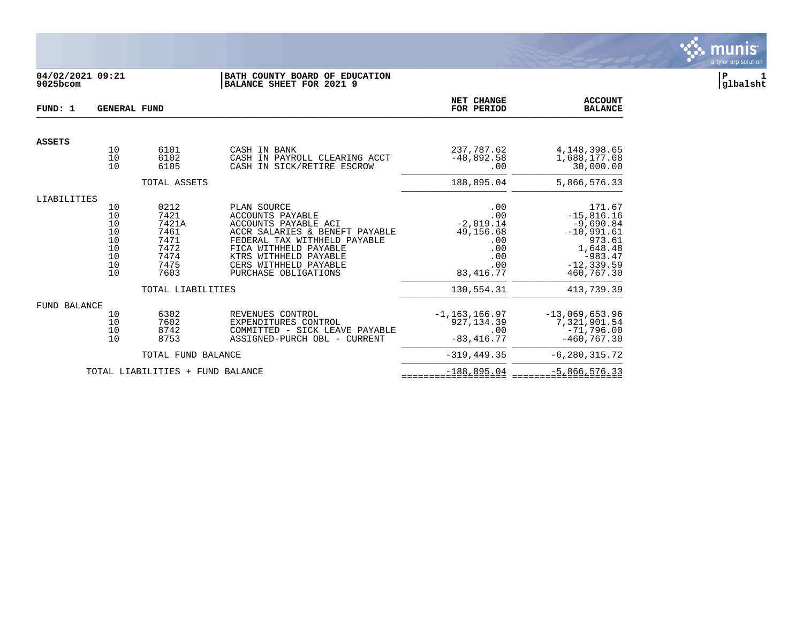

# **04/02/2021 09:21 |BATH COUNTY BOARD OF EDUCATION |P 1 9025bcom |BALANCE SHEET FOR 2021 9 |glbalsht**

| FUND: 1             | <b>GENERAL FUND</b>                                |                                                                                            | NET CHANGE<br>FOR PERIOD                                                                                                                                                                                                            | <b>ACCOUNT</b><br><b>BALANCE</b>                                                                |                                                                                                                                       |
|---------------------|----------------------------------------------------|--------------------------------------------------------------------------------------------|-------------------------------------------------------------------------------------------------------------------------------------------------------------------------------------------------------------------------------------|-------------------------------------------------------------------------------------------------|---------------------------------------------------------------------------------------------------------------------------------------|
| <b>ASSETS</b>       |                                                    |                                                                                            |                                                                                                                                                                                                                                     |                                                                                                 |                                                                                                                                       |
|                     | 10<br>10<br>10                                     | 6101<br>6102<br>6105                                                                       | CASH IN BANK<br>CASH IN PAYROLL CLEARING ACCT<br>CASH IN SICK/RETIRE ESCROW                                                                                                                                                         | 237,787.62<br>$-48,892.58$<br>.00                                                               | 4, 148, 398.65<br>1,688,177.68<br>30,000.00                                                                                           |
|                     |                                                    | TOTAL ASSETS                                                                               |                                                                                                                                                                                                                                     | 188,895.04                                                                                      | 5,866,576.33                                                                                                                          |
| LIABILITIES         |                                                    |                                                                                            |                                                                                                                                                                                                                                     |                                                                                                 |                                                                                                                                       |
|                     | 10<br>10<br>10<br>10<br>10<br>10<br>10<br>10<br>10 | 0212<br>7421<br>7421A<br>7461<br>7471<br>7472<br>7474<br>7475<br>7603<br>TOTAL LIABILITIES | PLAN SOURCE<br><b>ACCOUNTS PAYABLE</b><br>ACCOUNTS PAYABLE ACI<br>ACCR SALARIES & BENEFT PAYABLE<br>FEDERAL TAX WITHHELD PAYABLE<br>FICA WITHHELD PAYABLE<br>KTRS WITHHELD PAYABLE<br>CERS WITHHELD PAYABLE<br>PURCHASE OBLIGATIONS | .00<br>.00<br>$-2,019.14$<br>49,156.68<br>.00<br>.00<br>.00<br>.00<br>83, 416. 77<br>130,554.31 | 171.67<br>$-15,816.16$<br>$-9,690.84$<br>$-10,991.61$<br>973.61<br>1,648.48<br>$-983.47$<br>$-12, 339.59$<br>460,767.30<br>413,739.39 |
|                     |                                                    |                                                                                            |                                                                                                                                                                                                                                     |                                                                                                 |                                                                                                                                       |
| <b>FUND BALANCE</b> | 10<br>10<br>10<br>10                               | 6302<br>7602<br>8742<br>8753                                                               | REVENUES CONTROL<br>EXPENDITURES CONTROL<br>COMMITTED - SICK LEAVE PAYABLE<br>ASSIGNED-PURCH OBL - CURRENT                                                                                                                          | $-1, 163, 166.97$<br>927, 134.39<br>.00<br>$-83, 416.77$                                        | $-13,069,653.96$<br>7,321,901.54<br>$-71,796.00$<br>$-460, 767.30$                                                                    |
|                     |                                                    | TOTAL FUND BALANCE                                                                         |                                                                                                                                                                                                                                     | $-319, 449.35$                                                                                  | $-6, 280, 315.72$                                                                                                                     |
|                     |                                                    | TOTAL LIABILITIES + FUND BALANCE                                                           |                                                                                                                                                                                                                                     | $-188, 895.04$                                                                                  | $-5,866,576.33$                                                                                                                       |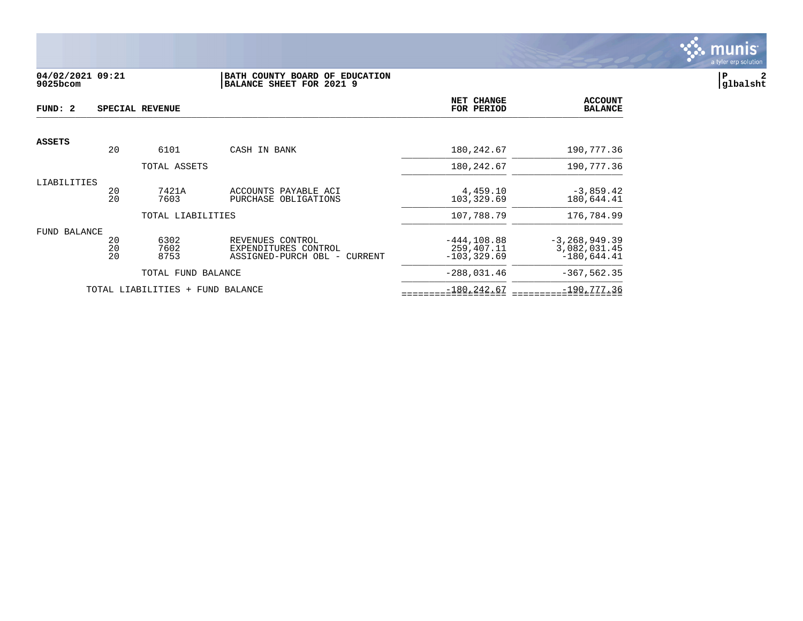

## **04/02/2021 09:21 |BATH COUNTY BOARD OF EDUCATION |P 2 9025bcom |BALANCE SHEET FOR 2021 9 |glbalsht**

| FUND: 2       |                | SPECIAL REVENUE                  |                                                                          | NET CHANGE<br>FOR PERIOD                      | <b>ACCOUNT</b><br><b>BALANCE</b>                   |
|---------------|----------------|----------------------------------|--------------------------------------------------------------------------|-----------------------------------------------|----------------------------------------------------|
| <b>ASSETS</b> |                |                                  |                                                                          |                                               |                                                    |
|               | 20             | 6101                             | CASH IN BANK                                                             | 180, 242.67                                   | 190,777.36                                         |
|               |                | TOTAL ASSETS                     |                                                                          | 180, 242.67                                   | 190,777.36                                         |
| LIABILITIES   | 20<br>20       | 7421A<br>7603                    | ACCOUNTS PAYABLE ACI<br>PURCHASE OBLIGATIONS                             | 4,459.10<br>103,329.69                        | $-3,859.42$<br>180,644.41                          |
|               |                | TOTAL LIABILITIES                |                                                                          | 107,788.79                                    | 176,784.99                                         |
| FUND BALANCE  | 20<br>20<br>20 | 6302<br>7602<br>8753             | REVENUES CONTROL<br>EXPENDITURES CONTROL<br>ASSIGNED-PURCH OBL - CURRENT | $-444.108.88$<br>259,407.11<br>$-103, 329.69$ | $-3, 268, 949.39$<br>3,082,031.45<br>$-180,644.41$ |
|               |                | TOTAL FUND BALANCE               |                                                                          | $-288,031.46$                                 | $-367, 562.35$                                     |
|               |                | TOTAL LIABILITIES + FUND BALANCE |                                                                          | $-180, 242.67$                                | $-190,777.36$                                      |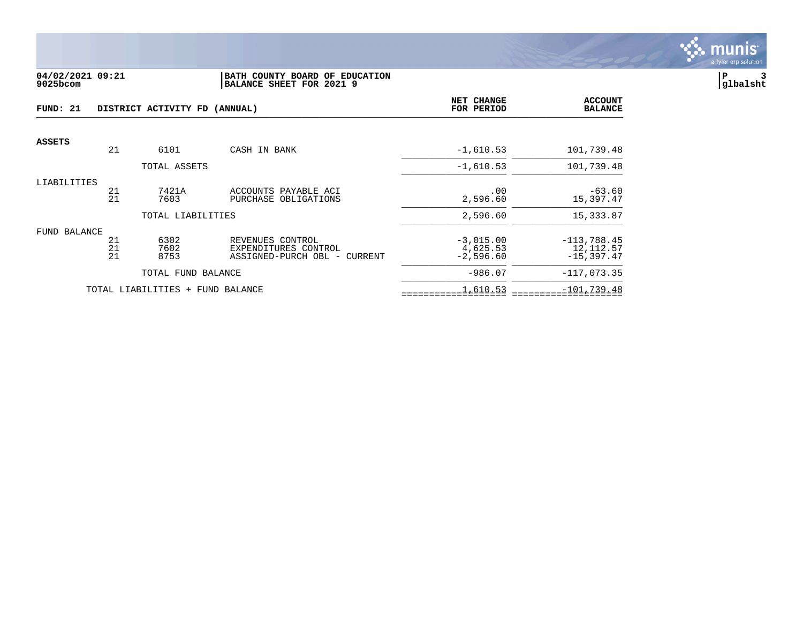

#### **04/02/2021 09:21 |BATH COUNTY BOARD OF EDUCATION |P 3 9025bcom |BALANCE SHEET FOR 2021 9 |glbalsht**

| FUND: 21      |                | DISTRICT ACTIVITY FD (ANNUAL)    |                                                                          | NET CHANGE<br>FOR PERIOD               | <b>ACCOUNT</b><br><b>BALANCE</b>            |
|---------------|----------------|----------------------------------|--------------------------------------------------------------------------|----------------------------------------|---------------------------------------------|
| <b>ASSETS</b> |                |                                  |                                                                          |                                        |                                             |
|               | 21             | 6101                             | CASH IN BANK                                                             | $-1,610.53$                            | 101,739.48                                  |
|               |                | TOTAL ASSETS                     |                                                                          | $-1,610.53$                            | 101,739.48                                  |
| LIABILITIES   | 21<br>21       | 7421A<br>7603                    | ACCOUNTS PAYABLE ACI<br>PURCHASE OBLIGATIONS                             | .00<br>2,596.60                        | $-63.60$<br>15,397.47                       |
|               |                | TOTAL LIABILITIES                |                                                                          | 2,596.60                               | 15, 333.87                                  |
| FUND BALANCE  | 21<br>21<br>21 | 6302<br>7602<br>8753             | REVENUES CONTROL<br>EXPENDITURES CONTROL<br>ASSIGNED-PURCH OBL - CURRENT | $-3,015.00$<br>4,625.53<br>$-2,596.60$ | $-113,788.45$<br>12, 112.57<br>$-15,397.47$ |
|               |                | TOTAL FUND BALANCE               |                                                                          | $-986.07$                              | $-117,073.35$                               |
|               |                | TOTAL LIABILITIES + FUND BALANCE |                                                                          | 1,610.53                               | $-101,739.48$                               |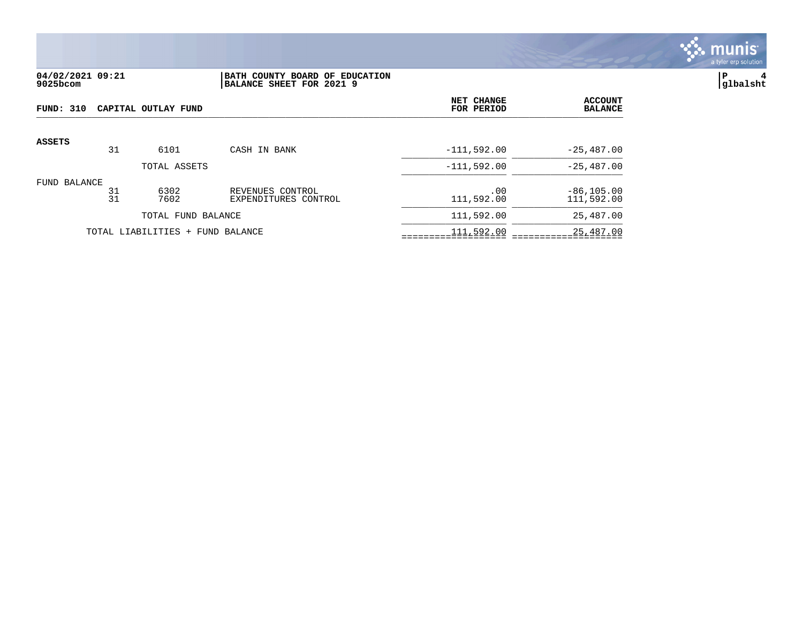

## **04/02/2021 09:21 |BATH COUNTY BOARD OF EDUCATION |P 4 9025bcom |BALANCE SHEET FOR 2021 9 |glbalsht**

| FUND: 310<br>CAPITAL OUTLAY FUND |          |                                  |                                          | NET CHANGE<br>FOR PERIOD | <b>ACCOUNT</b><br><b>BALANCE</b> |
|----------------------------------|----------|----------------------------------|------------------------------------------|--------------------------|----------------------------------|
| <b>ASSETS</b>                    |          |                                  |                                          |                          |                                  |
|                                  | 31       | 6101                             | CASH IN BANK                             | $-111,592.00$            | $-25,487.00$                     |
|                                  |          | TOTAL ASSETS                     |                                          | $-111.592.00$            | $-25,487.00$                     |
| FUND BALANCE                     | 31<br>31 | 6302<br>7602                     | REVENUES CONTROL<br>EXPENDITURES CONTROL | .00<br>111,592.00        | $-86, 105.00$<br>111,592.00      |
|                                  |          | TOTAL FUND BALANCE               |                                          | 111,592.00               | 25,487.00                        |
|                                  |          | TOTAL LIABILITIES + FUND BALANCE |                                          | 111,592.00               | 25,487.00                        |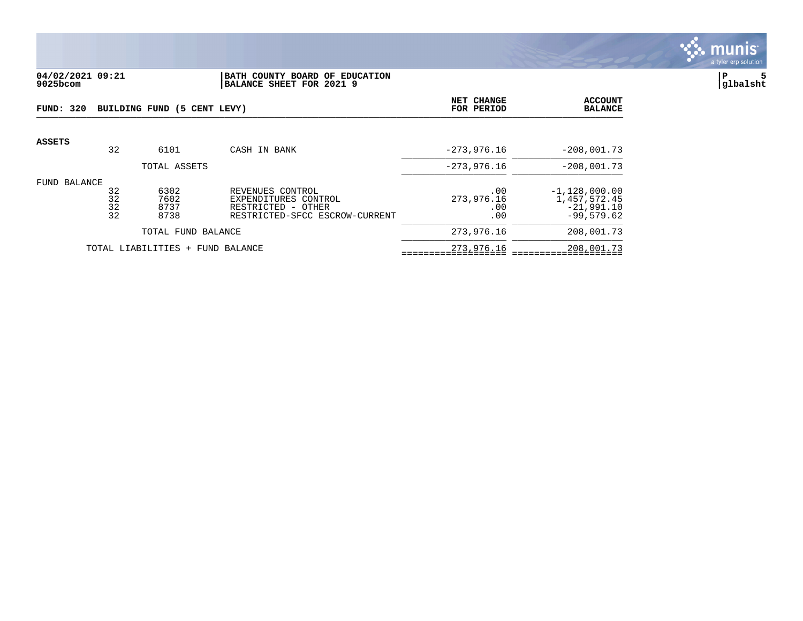

#### **04/02/2021 09:21 |BATH COUNTY BOARD OF EDUCATION |P 5 9025bcom |BALANCE SHEET FOR 2021 9 |glbalsht**

| FUND: 320                           |                      | BUILDING FUND (5 CENT LEVY)  | NET CHANGE<br>FOR PERIOD                                                                         | <b>ACCOUNT</b><br><b>BALANCE</b> |                                                                 |
|-------------------------------------|----------------------|------------------------------|--------------------------------------------------------------------------------------------------|----------------------------------|-----------------------------------------------------------------|
| ASSETS                              | 32                   | 6101                         | CASH IN BANK                                                                                     | $-273,976.16$                    | $-208,001.73$                                                   |
|                                     |                      | TOTAL ASSETS                 |                                                                                                  | $-273,976.16$                    | $-208,001.73$                                                   |
| FUND BALANCE                        | 32<br>32<br>32<br>32 | 6302<br>7602<br>8737<br>8738 | REVENUES CONTROL<br>EXPENDITURES CONTROL<br>RESTRICTED - OTHER<br>RESTRICTED-SFCC ESCROW-CURRENT | .00<br>273,976.16<br>.00<br>.00  | $-1,128,000.00$<br>1,457,572.45<br>$-21.991.10$<br>$-99,579.62$ |
| TOTAL FUND BALANCE                  |                      |                              | 273,976.16                                                                                       | 208,001.73                       |                                                                 |
| TOTAL LIABILITIES +<br>FUND BALANCE |                      |                              |                                                                                                  | 273,976.16                       | 208,001.73                                                      |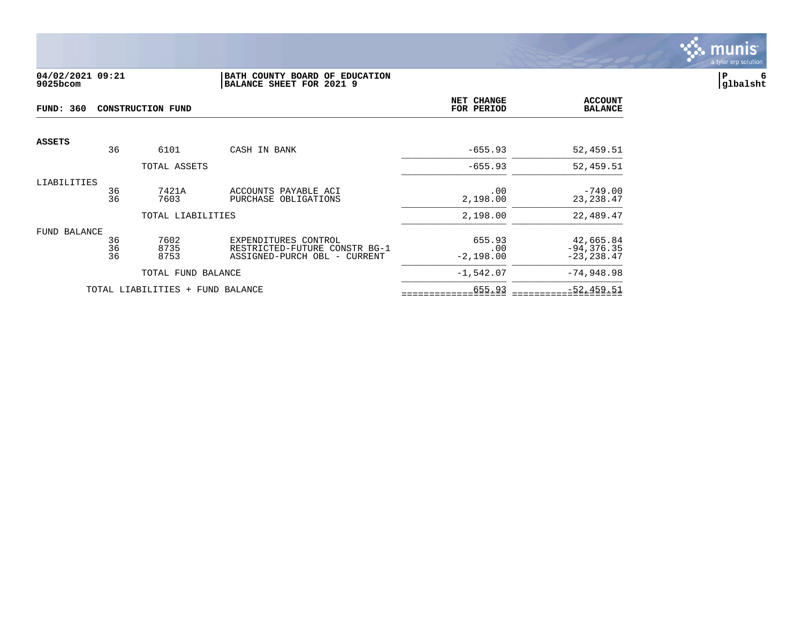

### **04/02/2021 09:21 |BATH COUNTY BOARD OF EDUCATION |P 6 9025bcom |BALANCE SHEET FOR 2021 9 |glbalsht**

| <b>FUND: 360</b>    |          | <b>CONSTRUCTION FUND</b>         | NET CHANGE<br>FOR PERIOD                              | <b>ACCOUNT</b><br><b>BALANCE</b> |                            |
|---------------------|----------|----------------------------------|-------------------------------------------------------|----------------------------------|----------------------------|
| <b>ASSETS</b>       |          |                                  |                                                       |                                  |                            |
|                     | 36       | 6101                             | CASH IN BANK                                          | $-655.93$                        | 52,459.51                  |
|                     |          | TOTAL ASSETS                     |                                                       | $-655.93$                        | 52,459.51                  |
| LIABILITIES         |          |                                  |                                                       |                                  |                            |
|                     | 36<br>36 | 7421A<br>7603                    | ACCOUNTS PAYABLE ACI<br>PURCHASE OBLIGATIONS          | .00<br>2,198.00                  | $-749.00$<br>23, 238.47    |
|                     |          |                                  |                                                       |                                  |                            |
|                     |          | TOTAL LIABILITIES                |                                                       | 2,198.00                         | 22,489.47                  |
| <b>FUND BALANCE</b> |          |                                  |                                                       |                                  |                            |
|                     | 36<br>36 | 7602<br>8735                     | EXPENDITURES CONTROL<br>RESTRICTED-FUTURE CONSTR BG-1 | 655.93                           | 42,665.84<br>$-94, 376.35$ |
|                     | 36       | 8753                             | ASSIGNED-PURCH OBL - CURRENT                          | .00<br>$-2,198.00$               | $-23, 238.47$              |
|                     |          | TOTAL FUND BALANCE               |                                                       | $-1,542.07$                      | $-74,948.98$               |
|                     |          | TOTAL LIABILITIES + FUND BALANCE |                                                       | 655.93                           | $-52, 459.51$              |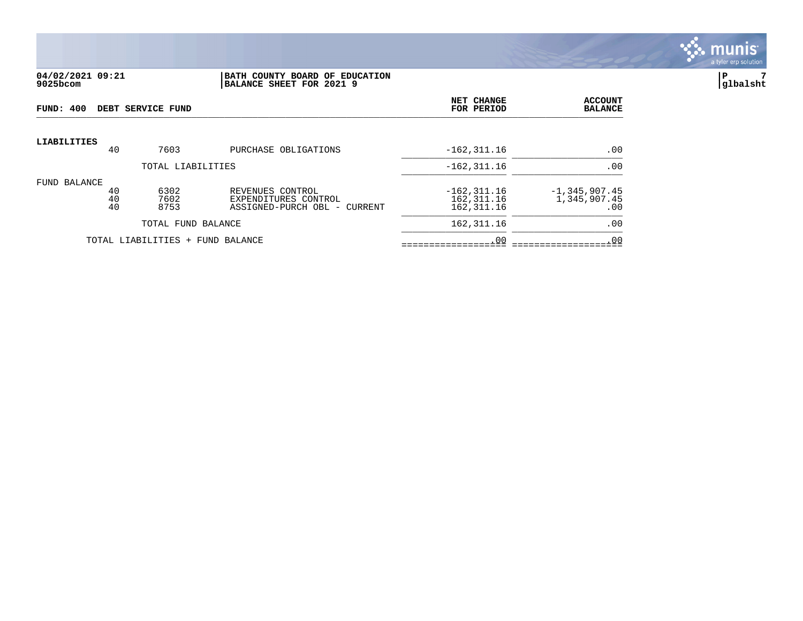

#### **04/02/2021 09:21 |BATH COUNTY BOARD OF EDUCATION |P 7 9025bcom |BALANCE SHEET FOR 2021 9 |glbalsht**

| FUND: 400    |                   |                | DEBT SERVICE FUND                |                                                                          | NET CHANGE<br>FOR PERIOD                     | <b>ACCOUNT</b><br><b>BALANCE</b>         |
|--------------|-------------------|----------------|----------------------------------|--------------------------------------------------------------------------|----------------------------------------------|------------------------------------------|
| LIABILITIES  |                   | 40             | 7603                             | PURCHASE OBLIGATIONS                                                     | $-162, 311.16$                               | .00                                      |
|              | TOTAL LIABILITIES |                |                                  |                                                                          | $-162, 311.16$                               | .00                                      |
| FUND BALANCE |                   | 40<br>40<br>40 | 6302<br>7602<br>8753             | REVENUES CONTROL<br>EXPENDITURES CONTROL<br>ASSIGNED-PURCH OBL - CURRENT | $-162, 311.16$<br>162, 311.16<br>162, 311.16 | $-1, 345, 907.45$<br>1,345,907.45<br>.00 |
|              |                   |                | TOTAL FUND BALANCE               |                                                                          | 162, 311.16                                  | .00                                      |
|              |                   |                | TOTAL LIABILITIES + FUND BALANCE |                                                                          | .00                                          | .00                                      |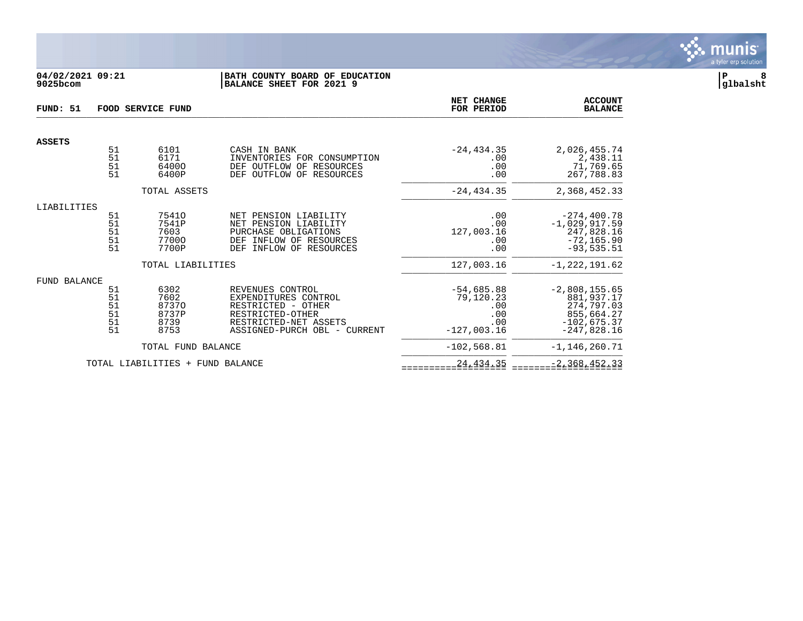

## **04/02/2021 09:21 |BATH COUNTY BOARD OF EDUCATION |P 8 9025bcom |BALANCE SHEET FOR 2021 9 |glbalsht**

| FUND: 51      |                                                                                                | FOOD SERVICE FUND                              |                                                                                                                                             | <b>NET CHANGE</b><br>FOR PERIOD                                 | <b>ACCOUNT</b><br><b>BALANCE</b>                                                            |
|---------------|------------------------------------------------------------------------------------------------|------------------------------------------------|---------------------------------------------------------------------------------------------------------------------------------------------|-----------------------------------------------------------------|---------------------------------------------------------------------------------------------|
| <b>ASSETS</b> |                                                                                                |                                                |                                                                                                                                             |                                                                 |                                                                                             |
|               | 51<br>51<br>51<br>51                                                                           | 6101<br>6171<br>64000<br>6400P                 | CASH IN BANK<br>INVENTORIES FOR CONSUMPTION<br>DEF OUTFLOW OF RESOURCES<br>DEF OUTFLOW OF RESOURCES                                         | $-24, 434.35$<br>.00<br>.00<br>.00                              | 2,026,455.74<br>2,438.11<br>71,769.65<br>267,788.83                                         |
|               |                                                                                                | TOTAL ASSETS                                   |                                                                                                                                             | $-24, 434.35$                                                   | 2,368,452.33                                                                                |
| LIABILITIES   |                                                                                                |                                                |                                                                                                                                             |                                                                 |                                                                                             |
|               | 51<br>51<br>51<br>51<br>51                                                                     | 75410<br>7541P<br>7603<br>77000<br>7700P       | PENSION LIABILITY<br>NET<br>NET PENSION LIABILITY<br>PURCHASE OBLIGATIONS<br>INFLOW OF RESOURCES<br>DEF<br>INFLOW OF RESOURCES<br>DEF       | .00<br>.00<br>127,003.16<br>.00<br>.00                          | $-274, 400.78$<br>$-1,029,917.59$<br>247,828.16<br>$-72, 165.90$<br>$-93,535.51$            |
|               |                                                                                                | TOTAL LIABILITIES                              |                                                                                                                                             | 127,003.16                                                      | $-1, 222, 191.62$                                                                           |
| FUND BALANCE  |                                                                                                |                                                |                                                                                                                                             |                                                                 |                                                                                             |
|               | 51<br>$\begin{array}{c} 51 \\ 51 \end{array}$<br>51<br>$\begin{array}{c} 51 \\ 51 \end{array}$ | 6302<br>7602<br>87370<br>8737P<br>8739<br>8753 | REVENUES CONTROL<br>EXPENDITURES CONTROL<br>RESTRICTED - OTHER<br>RESTRICTED-OTHER<br>RESTRICTED-NET ASSETS<br>ASSIGNED-PURCH OBL - CURRENT | $-54,685.88$<br>79,120.23<br>.00<br>.00<br>.00<br>$-127,003.16$ | $-2,808,155.65$<br>881,937.17<br>274,797.03<br>855,664.27<br>$-102,675.37$<br>$-247,828.16$ |
|               |                                                                                                | TOTAL FUND BALANCE                             |                                                                                                                                             | $-102,568.81$                                                   | $-1, 146, 260.71$                                                                           |
|               |                                                                                                | TOTAL LIABILITIES + FUND BALANCE               |                                                                                                                                             | 24, 434.35                                                      | $-2, 368, 452.33$                                                                           |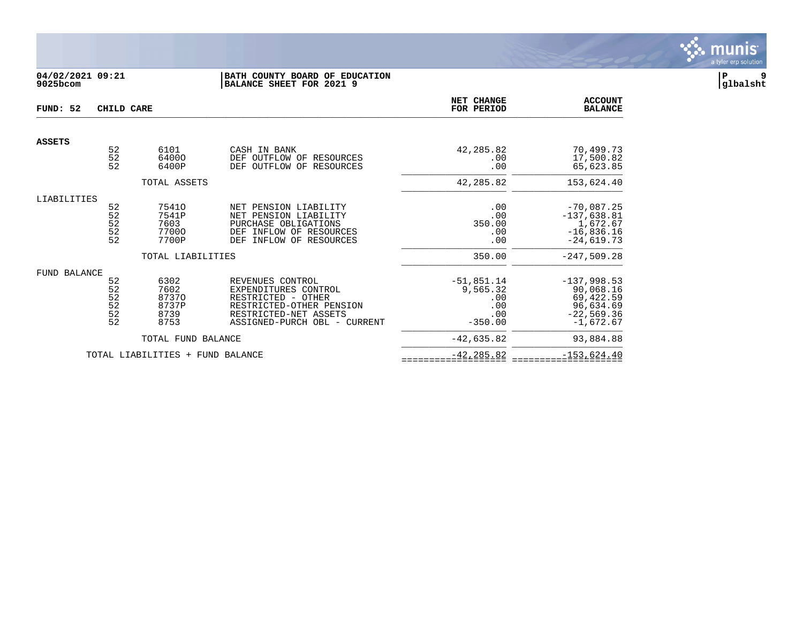

## **04/02/2021 09:21 |BATH COUNTY BOARD OF EDUCATION |P 9 9025bcom |BALANCE SHEET FOR 2021 9 |glbalsht**

| FUND: 52            | CHILD CARE                                                             |                                                |                                                                                                                                                     | NET CHANGE<br>FOR PERIOD                                   | <b>ACCOUNT</b><br><b>BALANCE</b>                                                    |
|---------------------|------------------------------------------------------------------------|------------------------------------------------|-----------------------------------------------------------------------------------------------------------------------------------------------------|------------------------------------------------------------|-------------------------------------------------------------------------------------|
| <b>ASSETS</b>       |                                                                        |                                                |                                                                                                                                                     |                                                            |                                                                                     |
|                     | 52<br>52<br>52                                                         | 6101<br>64000<br>6400P                         | CASH IN BANK<br>DEF<br>OUTFLOW OF RESOURCES<br>OUTFLOW OF RESOURCES<br>DEF                                                                          | 42,285.82<br>.00<br>.00                                    | 70,499.73<br>17,500.82<br>65,623.85                                                 |
|                     |                                                                        | TOTAL ASSETS                                   |                                                                                                                                                     | 42,285.82                                                  | 153,624.40                                                                          |
| LIABILITIES         | 52<br>52<br>52<br>52<br>52                                             | 75410<br>7541P<br>7603<br>77000<br>7700P       | NET PENSION LIABILITY<br>NET PENSION LIABILITY<br>PURCHASE OBLIGATIONS<br>INFLOW OF RESOURCES<br>DEF<br>INFLOW OF RESOURCES<br>DEF                  | .00<br>.00<br>350.00<br>.00<br>.00                         | $-70,087.25$<br>$-137,638.81$<br>1,672.67<br>$-16,836.16$<br>$-24,619.73$           |
|                     |                                                                        | TOTAL LIABILITIES                              |                                                                                                                                                     | 350.00                                                     | $-247,509.28$                                                                       |
| <b>FUND BALANCE</b> | 52<br>52<br>$\frac{52}{52}$<br>$\begin{array}{c} 52 \\ 52 \end{array}$ | 6302<br>7602<br>87370<br>8737P<br>8739<br>8753 | REVENUES CONTROL<br>EXPENDITURES CONTROL<br>RESTRICTED - OTHER<br>RESTRICTED-OTHER PENSION<br>RESTRICTED-NET ASSETS<br>ASSIGNED-PURCH OBL - CURRENT | $-51,851.14$<br>9,565.32<br>.00<br>.00<br>.00<br>$-350.00$ | $-137,998.53$<br>90,068.16<br>69,422.59<br>96,634.69<br>$-22,569.36$<br>$-1,672.67$ |
|                     |                                                                        | TOTAL FUND BALANCE                             |                                                                                                                                                     | $-42,635.82$                                               | 93,884.88                                                                           |
|                     |                                                                        | TOTAL LIABILITIES +                            | FUND BALANCE                                                                                                                                        | $-42, 285.82$                                              | $-153,624.40$                                                                       |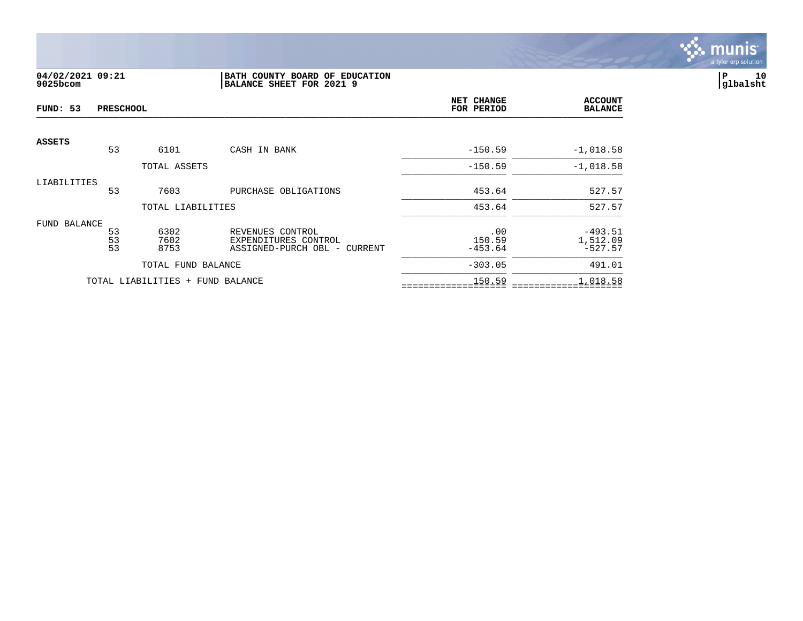

## **04/02/2021 09:21 |BATH COUNTY BOARD OF EDUCATION |P 10 9025bcom |BALANCE SHEET FOR 2021 9 |glbalsht**

| FUND: 53      | <b>PRESCHOOL</b> |                                  |                                                                          | NET CHANGE<br>FOR PERIOD   | <b>ACCOUNT</b><br><b>BALANCE</b>   |
|---------------|------------------|----------------------------------|--------------------------------------------------------------------------|----------------------------|------------------------------------|
| <b>ASSETS</b> | 53               | 6101                             | CASH IN BANK                                                             | $-150.59$                  | $-1,018.58$                        |
|               |                  | TOTAL ASSETS                     |                                                                          | $-150.59$                  | $-1,018.58$                        |
| LIABILITIES   | 53               | 7603                             | PURCHASE OBLIGATIONS                                                     | 453.64                     | 527.57                             |
|               |                  | TOTAL LIABILITIES                |                                                                          | 453.64                     | 527.57                             |
| FUND BALANCE  | 53<br>53<br>53   | 6302<br>7602<br>8753             | REVENUES CONTROL<br>EXPENDITURES CONTROL<br>ASSIGNED-PURCH OBL - CURRENT | .00<br>150.59<br>$-453.64$ | $-493.51$<br>1,512.09<br>$-527.57$ |
|               |                  | TOTAL FUND BALANCE               |                                                                          | $-303.05$                  | 491.01                             |
|               |                  | TOTAL LIABILITIES + FUND BALANCE |                                                                          | 150.59                     | 1,018.58                           |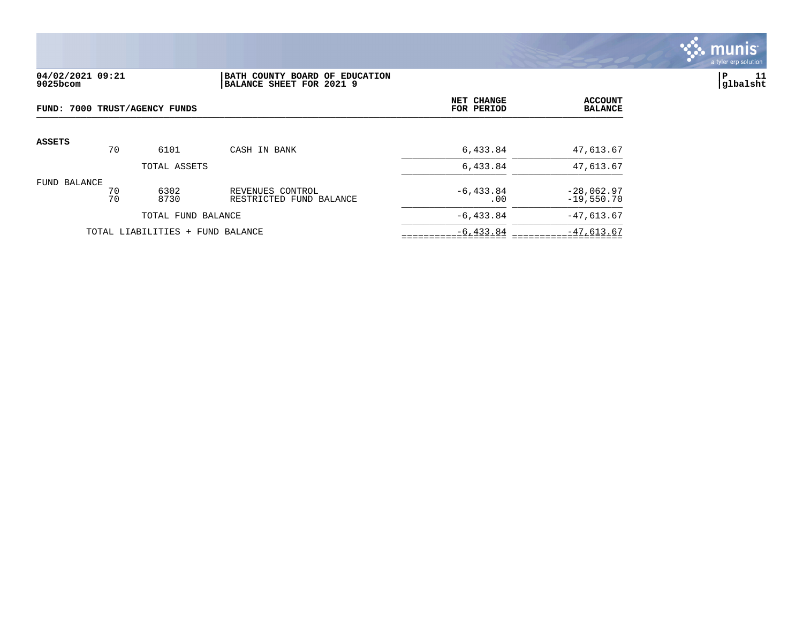

### **04/02/2021 09:21 |BATH COUNTY BOARD OF EDUCATION |P 11 9025bcom |BALANCE SHEET FOR 2021 9 |glbalsht**

| FUND: 7000 TRUST/AGENCY FUNDS |          |                                  | <b>NET CHANGE</b><br>FOR PERIOD             | <b>ACCOUNT</b><br><b>BALANCE</b> |                              |
|-------------------------------|----------|----------------------------------|---------------------------------------------|----------------------------------|------------------------------|
| <b>ASSETS</b>                 | 70       | 6101                             | CASH IN BANK                                | 6,433.84                         | 47,613.67                    |
|                               |          | TOTAL ASSETS                     |                                             | 6,433.84                         | 47,613.67                    |
| FUND BALANCE                  | 70<br>70 | 6302<br>8730                     | REVENUES CONTROL<br>RESTRICTED FUND BALANCE | $-6, 433.84$<br>.00              | $-28,062.97$<br>$-19,550.70$ |
|                               |          | TOTAL FUND BALANCE               |                                             | $-6, 433.84$                     | $-47,613.67$                 |
|                               |          | TOTAL LIABILITIES + FUND BALANCE |                                             | $-6, 433.84$                     | $-47,613.67$                 |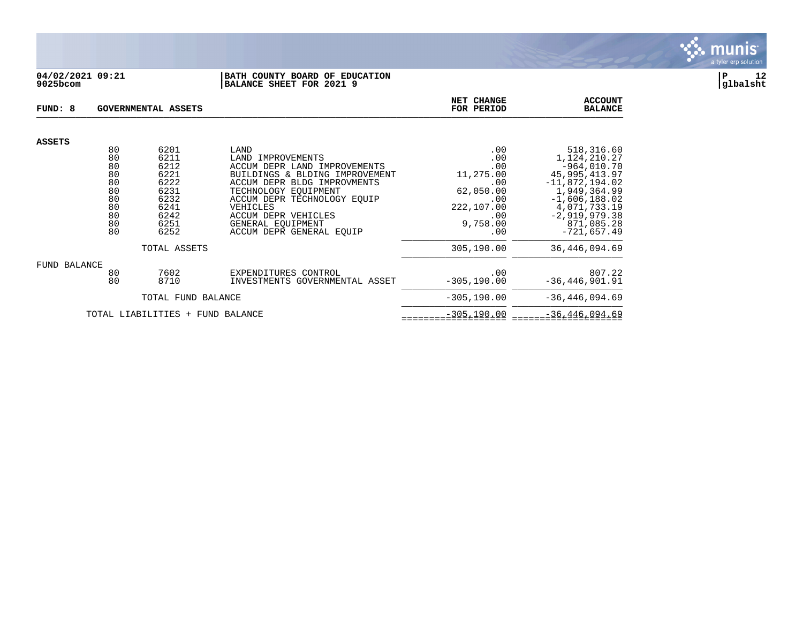

#### **04/02/2021 09:21 |BATH COUNTY BOARD OF EDUCATION |P 12 9025bcom |BALANCE SHEET FOR 2021 9 |glbalsht**

| FUND: 8                          |          | <b>GOVERNMENTAL ASSETS</b> | NET CHANGE<br>FOR PERIOD                          | <b>ACCOUNT</b><br><b>BALANCE</b> |                                 |
|----------------------------------|----------|----------------------------|---------------------------------------------------|----------------------------------|---------------------------------|
| <b>ASSETS</b>                    |          |                            |                                                   |                                  |                                 |
|                                  | 80       | 6201                       | LAND                                              | .00                              | 518,316.60                      |
|                                  | 80<br>80 | 6211<br>6212               | LAND IMPROVEMENTS<br>ACCUM DEPR LAND IMPROVEMENTS | .00<br>.00                       | 1,124,210.27<br>$-964,010.70$   |
|                                  | 80       | 6221                       | BUILDINGS & BLDING IMPROVEMENT                    | 11,275.00                        | 45, 995, 413.97                 |
|                                  | 80       | 6222                       | ACCUM DEPR BLDG IMPROVMENTS                       | .00                              | $-11,872,194.02$                |
|                                  | 80       | 6231                       | TECHNOLOGY EOUIPMENT                              | 62,050.00                        | 1,949,364.99                    |
|                                  | 80       | 6232                       | ACCUM DEPR TECHNOLOGY EQUIP                       | .00                              | $-1,606,188.02$                 |
|                                  | 80<br>80 | 6241<br>6242               | VEHICLES<br>ACCUM DEPR VEHICLES                   | 222,107.00<br>.00                | 4,071,733.19<br>$-2,919,979.38$ |
|                                  | 80       | 6251                       | GENERAL EOUIPMENT                                 | 9,758.00                         | 871,085.28                      |
|                                  | 80       | 6252                       | ACCUM DEPR GENERAL EOUIP                          | .00                              | $-721,657.49$                   |
|                                  |          | TOTAL ASSETS               |                                                   | 305,190.00                       | 36, 446, 094.69                 |
| FUND BALANCE                     |          |                            |                                                   |                                  |                                 |
|                                  | 80       | 7602                       | EXPENDITURES CONTROL                              | .00                              | 807.22                          |
|                                  | 80       | 8710                       | INVESTMENTS GOVERNMENTAL ASSET                    | $-305, 190.00$                   | $-36, 446, 901.91$              |
|                                  |          | TOTAL FUND BALANCE         |                                                   | $-305, 190.00$                   | $-36, 446, 094.69$              |
| TOTAL LIABILITIES + FUND BALANCE |          |                            | $-305, 190.00$                                    | $-36, 446, 094.69$               |                                 |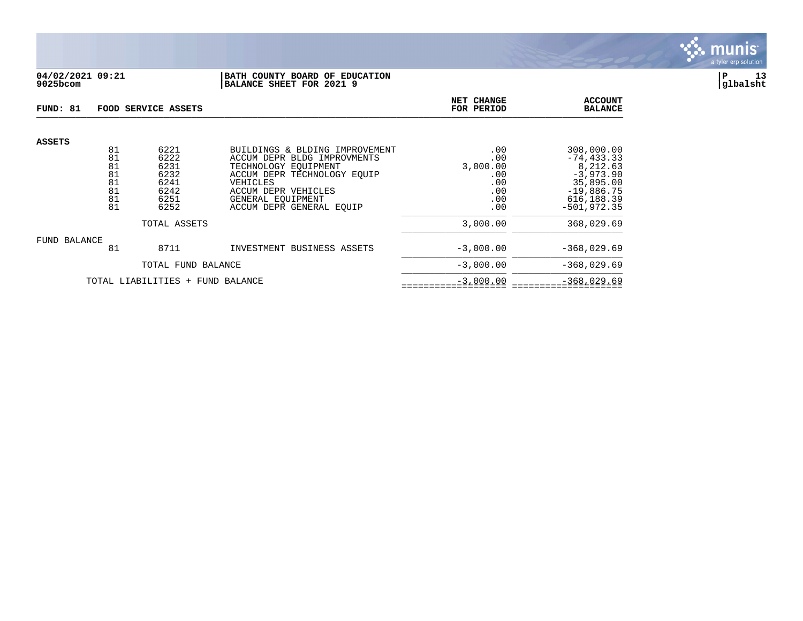

## **04/02/2021 09:21 |BATH COUNTY BOARD OF EDUCATION |P 13 9025bcom |BALANCE SHEET FOR 2021 9 |glbalsht**

| FUND: 81                         |                                        | FOOD SERVICE ASSETS                                  | NET CHANGE<br>FOR PERIOD                                                                                                                                                     | <b>ACCOUNT</b><br><b>BALANCE</b>                   |                                                                                                   |
|----------------------------------|----------------------------------------|------------------------------------------------------|------------------------------------------------------------------------------------------------------------------------------------------------------------------------------|----------------------------------------------------|---------------------------------------------------------------------------------------------------|
| <b>ASSETS</b>                    | 81<br>81<br>81<br>81<br>81<br>81<br>81 | 6221<br>6222<br>6231<br>6232<br>6241<br>6242<br>6251 | BUILDINGS & BLDING IMPROVEMENT<br>ACCUM DEPR BLDG IMPROVMENTS<br>TECHNOLOGY EOUIPMENT<br>ACCUM DEPR TECHNOLOGY EQUIP<br>VEHICLES<br>ACCUM DEPR VEHICLES<br>GENERAL EQUIPMENT | .00<br>.00<br>3,000.00<br>.00<br>.00<br>.00<br>.00 | 308,000.00<br>$-74, 433.33$<br>8,212.63<br>$-3,973.90$<br>35,895.00<br>$-19,886.75$<br>616,188.39 |
|                                  | 81                                     | 6252                                                 | ACCUM DEPR GENERAL EOUIP                                                                                                                                                     | .00                                                | $-501, 972.35$                                                                                    |
| TOTAL ASSETS                     |                                        |                                                      |                                                                                                                                                                              | 3,000.00                                           | 368,029.69                                                                                        |
| FUND BALANCE                     |                                        |                                                      |                                                                                                                                                                              |                                                    |                                                                                                   |
|                                  | 81                                     | 8711                                                 | INVESTMENT BUSINESS ASSETS                                                                                                                                                   | $-3,000.00$                                        | $-368,029.69$                                                                                     |
|                                  |                                        | TOTAL FUND BALANCE                                   |                                                                                                                                                                              | $-3,000.00$                                        | $-368,029.69$                                                                                     |
| TOTAL LIABILITIES + FUND BALANCE |                                        |                                                      |                                                                                                                                                                              | $-3,000.00$                                        | $-368,029.69$                                                                                     |